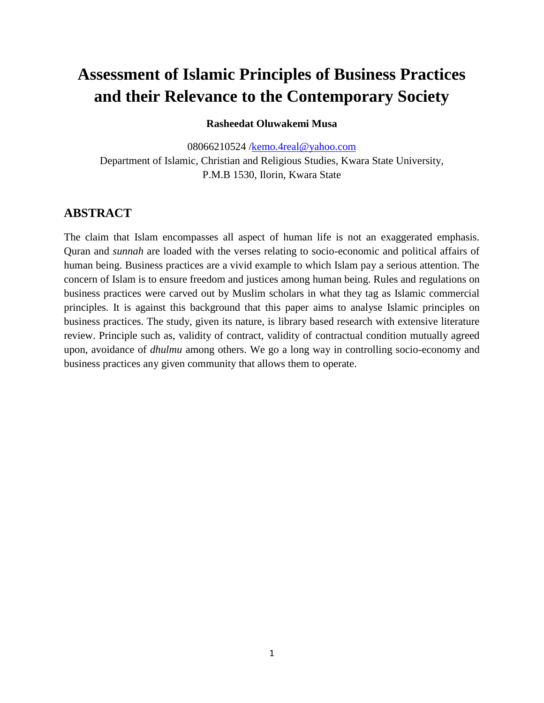# **Assessment of Islamic Principles of Business Practices and their Relevance to the Contemporary Society**

### **Rasheedat Oluwakemi Musa**

08066210524 [/kemo.4real@yahoo.com](mailto:kemo.4real@yahoo.com) Department of Islamic, Christian and Religious Studies, Kwara State University, P.M.B 1530, Ilorin, Kwara State

## **ABSTRACT**

The claim that Islam encompasses all aspect of human life is not an exaggerated emphasis. Quran and *sunnah* are loaded with the verses relating to socio-economic and political affairs of human being. Business practices are a vivid example to which Islam pay a serious attention. The concern of Islam is to ensure freedom and justices among human being. Rules and regulations on business practices were carved out by Muslim scholars in what they tag as Islamic commercial principles. It is against this background that this paper aims to analyse Islamic principles on business practices. The study, given its nature, is library based research with extensive literature review. Principle such as, validity of contract, validity of contractual condition mutually agreed upon, avoidance of *dhulmu* among others. We go a long way in controlling socio-economy and business practices any given community that allows them to operate.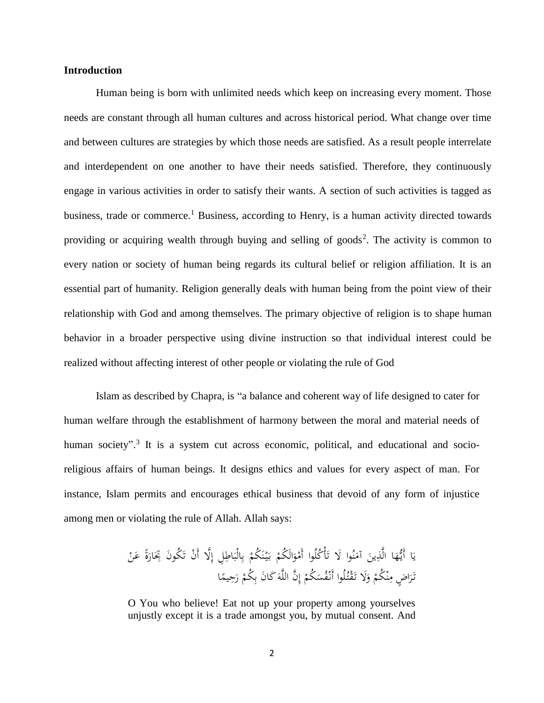#### **Introduction**

Human being is born with unlimited needs which keep on increasing every moment. Those needs are constant through all human cultures and across historical period. What change over time and between cultures are strategies by which those needs are satisfied. As a result people interrelate and interdependent on one another to have their needs satisfied. Therefore, they continuously engage in various activities in order to satisfy their wants. A section of such activities is tagged as business, trade or commerce.<sup>1</sup> Business, according to Henry, is a human activity directed towards providing or acquiring wealth through buying and selling of goods<sup>2</sup>. The activity is common to every nation or society of human being regards its cultural belief or religion affiliation. It is an essential part of humanity. Religion generally deals with human being from the point view of their relationship with God and among themselves. The primary objective of religion is to shape human behavior in a broader perspective using divine instruction so that individual interest could be realized without affecting interest of other people or violating the rule of God

Islam as described by Chapra, is "a balance and coherent way of life designed to cater for human welfare through the establishment of harmony between the moral and material needs of human society".<sup>3</sup> It is a system cut across economic, political, and educational and socioreligious affairs of human beings. It designs ethics and values for every aspect of man. For instance, Islam permits and encourages ethical business that devoid of any form of injustice among men or violating the rule of Allah. Allah says:

ْ الَ ُكم َ و ْ ُكلُوا أَم أْ َ ُوا ََل ت ن َ آم َ ين ِ ا الَّذ َ ه ُّ ا أَي َ ي ْ َن ً ع ة َ ار َ َ ُكوَن ِتِ ْن ت ََِّل أَ ِل إ اطِ َ الْب ِ ب ْ َ ُكم ن ْ ي َ ب ا ً يم َحِ ر ْ ُكم ِ َن ب َكا َ َّن اللَّه ِ إ ْ ُكم َ ُس ْف لُوا أَن ُ ت ْ َق ََل ت َ و ْ ْ ُكم ن ِ ا ٍض م َ َر ت

O You who believe! Eat not up your property among yourselves unjustly except it is a trade amongst you, by mutual consent. And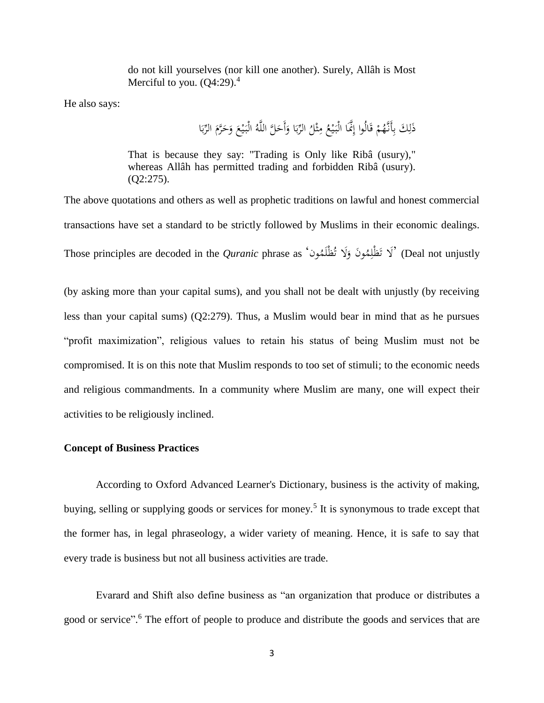do not kill yourselves (nor kill one another). Surely, Allâh is Most Merciful to you.  $(Q4:29)$ .<sup>4</sup>

He also says:

ذَلِكَ بِأَنَّهُمْ قَالُوا إِنَّمَا الْبَيْعُ مِثْلُ الرِّبَا وَأَحَلَّ اللَّهُ الْبَيْعَ وَحَرَّمَ الرِّبَا ب<br>: ب مُ َ  $\zeta$ **∶** ي  $\ddot{\cdot}$ َ ب<br>أ ب ث **م ∶** ي  $\ddot{\cdot}$ َ ْ ِ ِ

That is because they say: "Trading is Only like Ribâ (usury)," whereas Allâh has permitted trading and forbidden Ribâ (usury). (Q2:275).

The above quotations and others as well as prophetic traditions on lawful and honest commercial transactions have set a standard to be strictly followed by Muslims in their economic dealings. Those principles are decoded in the *Quranic* phrase as 'فَظْلِمُونَ وَلَا تُظْلَمُونَ)' (Deal not unjustly َ ا

(by asking more than your capital sums), and you shall not be dealt with unjustly (by receiving less than your capital sums) (Q2:279). Thus, a Muslim would bear in mind that as he pursues "profit maximization", religious values to retain his status of being Muslim must not be compromised. It is on this note that Muslim responds to too set of stimuli; to the economic needs and religious commandments. In a community where Muslim are many, one will expect their activities to be religiously inclined.

#### **Concept of Business Practices**

According to Oxford Advanced Learner's Dictionary, business is the activity of making, buying, selling or supplying goods or services for money.<sup>5</sup> It is synonymous to trade except that the former has, in legal phraseology, a wider variety of meaning. Hence, it is safe to say that every trade is business but not all business activities are trade.

Evarard and Shift also define business as "an organization that produce or distributes a good or service".<sup>6</sup> The effort of people to produce and distribute the goods and services that are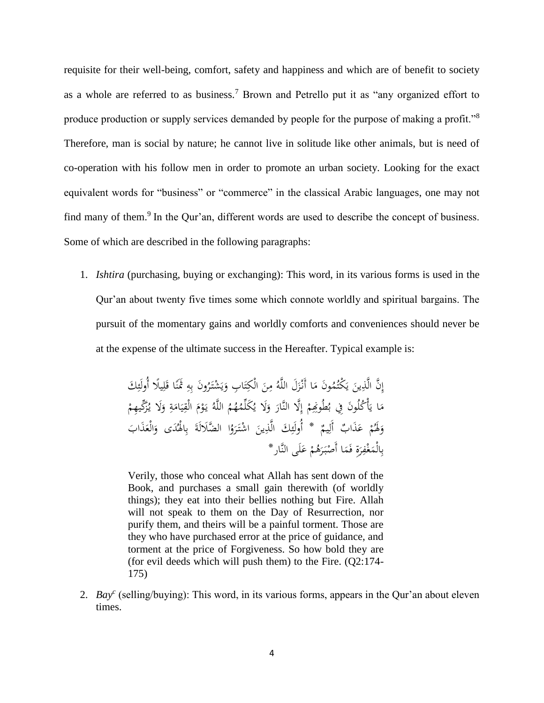requisite for their well-being, comfort, safety and happiness and which are of benefit to society as a whole are referred to as business.<sup>7</sup> Brown and Petrello put it as "any organized effort to produce production or supply services demanded by people for the purpose of making a profit."<sup>8</sup> Therefore, man is social by nature; he cannot live in solitude like other animals, but is need of co-operation with his follow men in order to promote an urban society. Looking for the exact equivalent words for "business" or "commerce" in the classical Arabic languages, one may not find many of them.<sup>9</sup> In the Qur'an, different words are used to describe the concept of business. Some of which are described in the following paragraphs:

1. *Ishtira* (purchasing, buying or exchanging): This word, in its various forms is used in the Qur'an about twenty five times some which connote worldly and spiritual bargains. The pursuit of the momentary gains and worldly comforts and conveniences should never be at the expense of the ultimate success in the Hereafter. Typical example is:

> نَّ الَّذِينَ يَكْتُمُونَ مَا أَنْزَلَ اللَّهُ مِنَ الْكِتَابِ وَيَشْتَرُونَ بِهِ تَمَنَّا قَلِيلًا أُولَئِكَ<br>مُسْتَمَرُّدَ اللَّهُ مِنَ اللَّهُ مِنَ الْكِتَابِ وَيَشْتَرُونَ بِهِ تَمَنَّا قَلِيلًا أُولَئِكَ ِ ِ َ  $\ddot{\phantom{0}}$ ِ ِ<br>ب ي َ <u>بہ</u> ت  $\ddot{\phantom{0}}$  $\overline{a}$ ز<br>.  $\overline{a}$ يا<br>. ي  $\ddot{\phantom{0}}$ ِ ا إ <sup> $\mathbf$ </sup> مَا يَأْكُلُونَ فِي بُطُوخِهِمْ إِلَّا النَّارَ وَلَا يُكَلِّمُهُمُ اللَّهُ يَوْمَ الْقِيَامَةِ وَلَا يُزَكِّيهِمْ َ <u>بة</u>  $\overline{a}$  $\ddot{\phantom{0}}$ ي ِ<br>قل َ ْ يا<br>. َ َ إ ْ يا<br>.  $\overline{a}$ وَلَهُمْ عَذَابٌ أَلِيمٌ \* أُولَئِكَ الَّذِينَ اشْتَرَوُا الضَّلَالَةَ بِالْهُدَى وَالْعَذَابَ ِ<br>ل َ ْ َ **ء** َ ِ ب ة<br>أ ر<br>. ا  $\ddot{\phantom{0}}$ ِ ِ<br>پُ بِالْمَغْفِرَةِ فَمَا أَصْبَرَهُمْ عَلَى النَّارِ \* َ ْ َ  $\ddot{\cdot}$  $\ddot{\phantom{0}}$ َ ِ  $\ddot{\phantom{0}}$ ب

> Verily, those who conceal what Allah has sent down of the Book, and purchases a small gain therewith (of worldly things); they eat into their bellies nothing but Fire. Allah will not speak to them on the Day of Resurrection, nor purify them, and theirs will be a painful torment. Those are they who have purchased error at the price of guidance, and torment at the price of Forgiveness. So how bold they are (for evil deeds which will push them) to the Fire. (Q2:174- 175)

2. *Bay<sup>c</sup>* (selling/buying): This word, in its various forms, appears in the Qur'an about eleven times.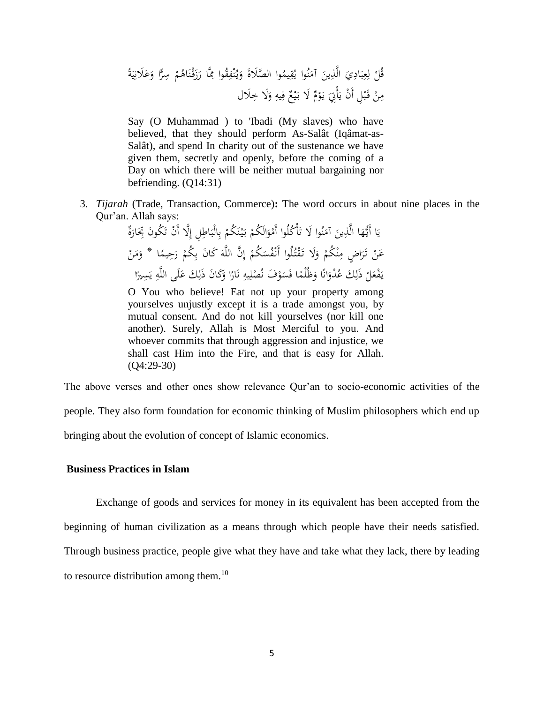َ ْن ق َ ز َ َّا ر ِ ُوا ِم ق ِ ْف ن ُ ي َ َ و وا ال َّصًَلة ُ يم ِ ق ُ ُوا ي ن َ آم َ ين ِ الَّذ َ ِي اد َ ب ِ ع ِ ل ْ ُل ق ً ة َ ي ِ ًَلن َ ع َ ا و ًّ ر سِ ْ م ُ اه ًَلل ََل خِ َ و ِ يه ِ ف ٌ ع ْ ي َ ََل ب ٌ م ْ و َ ي َ أِِْت َ ْن ي ِل أَ ْ ب َ ق ْ ن ِ م

Say (O Muhammad ) to 'Ibadi (My slaves) who have believed, that they should perform As-Salât (Iqâmat-as-Salât), and spend In charity out of the sustenance we have given them, secretly and openly, before the coming of a Day on which there will be neither mutual bargaining nor befriending. (Q14:31)

3. *Tijarah* (Trade, Transaction, Commerce)**:** The word occurs in about nine places in the Qur'an. Allah says:

ً ة َ ار َ َ ُكوَن ِتِ ْن ت ََِّل أَ ِل إ اطِ َ الْب ِ ب ْ َ ُكم ن ْ ي َ ب ْ الَ ُكم َ و ْ ُكلُوا أَم أْ َ ُوا ََل ت ن َ آم َ ين ِ ا الَّذ َ ه ُّ ا أَي َ ي ا ً يم َحِ ر ْ ُكم ِ َن ب َكا َ َّن اللَّه ِ إ ْ ُكم َ ُس ْف لُوا أَن ُ ت ْ َق ََل ت َ و ْ ْ ُكم ن ِ ا ٍض م َ َر ت ْ َن \* ع ْ ن َ م َ و َف ْ و َ َس ا ف ً ظُْلم َ ا و ً ان َ ُ ْدو َك ع ِ ذَل ْ َل ْع ف َ ي ا ً ري َسِ ي ِ لَى اللَّه َ َك ع ِ َن ذَل َكا َ ا و ً ار َ ن ِ يه ِ ُ ْصل ن

O You who believe! Eat not up your property among yourselves unjustly except it is a trade amongst you, by mutual consent. And do not kill yourselves (nor kill one another). Surely, Allah is Most Merciful to you. And whoever commits that through aggression and injustice, we shall cast Him into the Fire, and that is easy for Allah. (Q4:29-30)

The above verses and other ones show relevance Qur'an to socio-economic activities of the people. They also form foundation for economic thinking of Muslim philosophers which end up bringing about the evolution of concept of Islamic economics.

#### **Business Practices in Islam**

Exchange of goods and services for money in its equivalent has been accepted from the beginning of human civilization as a means through which people have their needs satisfied. Through business practice, people give what they have and take what they lack, there by leading to resource distribution among them. $^{10}$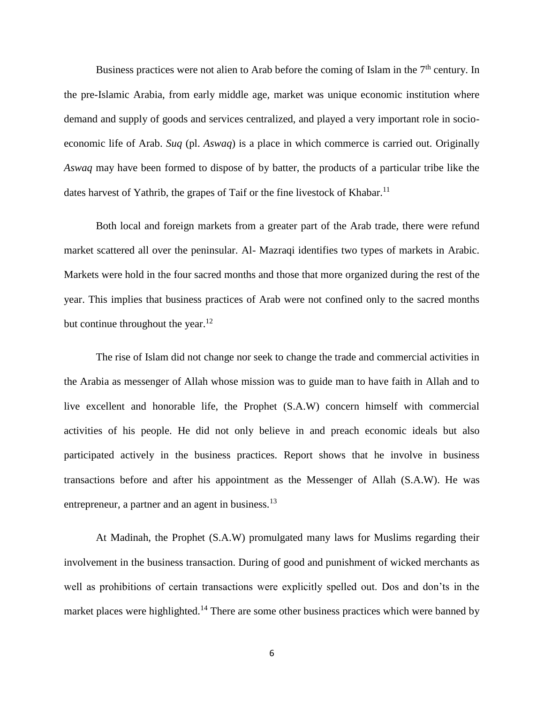Business practices were not alien to Arab before the coming of Islam in the  $7<sup>th</sup>$  century. In the pre-Islamic Arabia, from early middle age, market was unique economic institution where demand and supply of goods and services centralized, and played a very important role in socioeconomic life of Arab. *Suq* (pl. *Aswaq*) is a place in which commerce is carried out. Originally *Aswaq* may have been formed to dispose of by batter, the products of a particular tribe like the dates harvest of Yathrib, the grapes of Taif or the fine livestock of Khabar.<sup>11</sup>

Both local and foreign markets from a greater part of the Arab trade, there were refund market scattered all over the peninsular. Al- Mazraqi identifies two types of markets in Arabic. Markets were hold in the four sacred months and those that more organized during the rest of the year. This implies that business practices of Arab were not confined only to the sacred months but continue throughout the year. $^{12}$ 

The rise of Islam did not change nor seek to change the trade and commercial activities in the Arabia as messenger of Allah whose mission was to guide man to have faith in Allah and to live excellent and honorable life, the Prophet (S.A.W) concern himself with commercial activities of his people. He did not only believe in and preach economic ideals but also participated actively in the business practices. Report shows that he involve in business transactions before and after his appointment as the Messenger of Allah (S.A.W). He was entrepreneur, a partner and an agent in business.<sup>13</sup>

At Madinah, the Prophet (S.A.W) promulgated many laws for Muslims regarding their involvement in the business transaction. During of good and punishment of wicked merchants as well as prohibitions of certain transactions were explicitly spelled out. Dos and don'ts in the market places were highlighted.<sup>14</sup> There are some other business practices which were banned by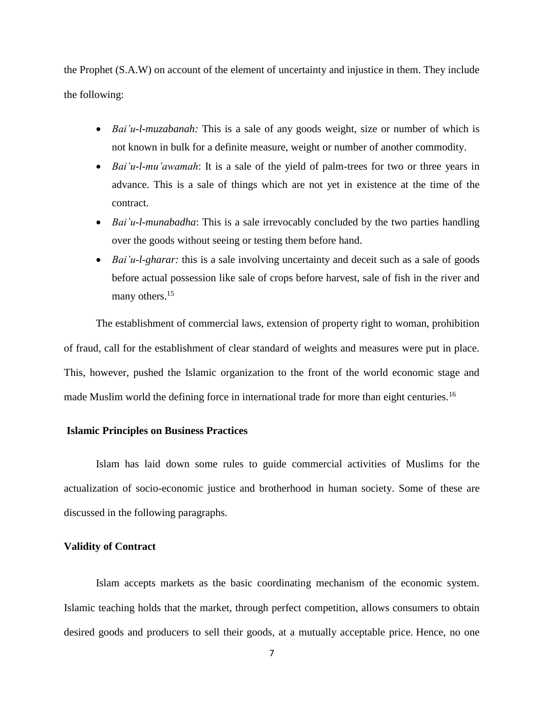the Prophet (S.A.W) on account of the element of uncertainty and injustice in them. They include the following:

- *Bai'u-l-muzabanah:* This is a sale of any goods weight, size or number of which is not known in bulk for a definite measure, weight or number of another commodity.
- *Bai'u-l-mu'awamah*: It is a sale of the yield of palm-trees for two or three years in advance. This is a sale of things which are not yet in existence at the time of the contract.
- *Bai'u-l-munabadha*: This is a sale irrevocably concluded by the two parties handling over the goods without seeing or testing them before hand.
- *Bai'u-l-gharar:* this is a sale involving uncertainty and deceit such as a sale of goods before actual possession like sale of crops before harvest, sale of fish in the river and many others.<sup>15</sup>

The establishment of commercial laws, extension of property right to woman, prohibition of fraud, call for the establishment of clear standard of weights and measures were put in place. This, however, pushed the Islamic organization to the front of the world economic stage and made Muslim world the defining force in international trade for more than eight centuries.<sup>16</sup>

#### **Islamic Principles on Business Practices**

Islam has laid down some rules to guide commercial activities of Muslims for the actualization of socio-economic justice and brotherhood in human society. Some of these are discussed in the following paragraphs.

#### **Validity of Contract**

Islam accepts markets as the basic coordinating mechanism of the economic system. Islamic teaching holds that the market, through perfect competition, allows consumers to obtain desired goods and producers to sell their goods, at a mutually acceptable price. Hence, no one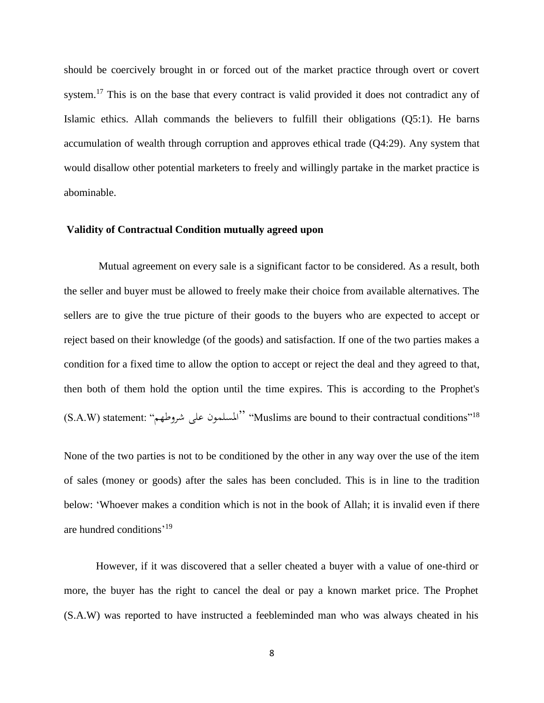should be coercively brought in or forced out of the market practice through overt or covert system.<sup>17</sup> This is on the base that every contract is valid provided it does not contradict any of Islamic ethics. Allah commands the believers to fulfill their obligations (Q5:1). He barns accumulation of wealth through corruption and approves ethical trade (Q4:29). Any system that would disallow other potential marketers to freely and willingly partake in the market practice is abominable.

#### **Validity of Contractual Condition mutually agreed upon**

Mutual agreement on every sale is a significant factor to be considered. As a result, both the seller and buyer must be allowed to freely make their choice from available alternatives. The sellers are to give the true picture of their goods to the buyers who are expected to accept or reject based on their knowledge (of the goods) and satisfaction. If one of the two parties makes a condition for a fixed time to allow the option to accept or reject the deal and they agreed to that, then both of them hold the option until the time expires. This is according to the Prophet's (S.A.W) statement: "شروطهم على املسلمون" "Muslims are bound to their contractual conditions"<sup>18</sup>

None of the two parties is not to be conditioned by the other in any way over the use of the item of sales (money or goods) after the sales has been concluded. This is in line to the tradition below: 'Whoever makes a condition which is not in the book of Allah; it is invalid even if there are hundred conditions' 19

However, if it was discovered that a seller cheated a buyer with a value of one-third or more, the buyer has the right to cancel the deal or pay a known market price. The Prophet (S.A.W) was reported to have instructed a feebleminded man who was always cheated in his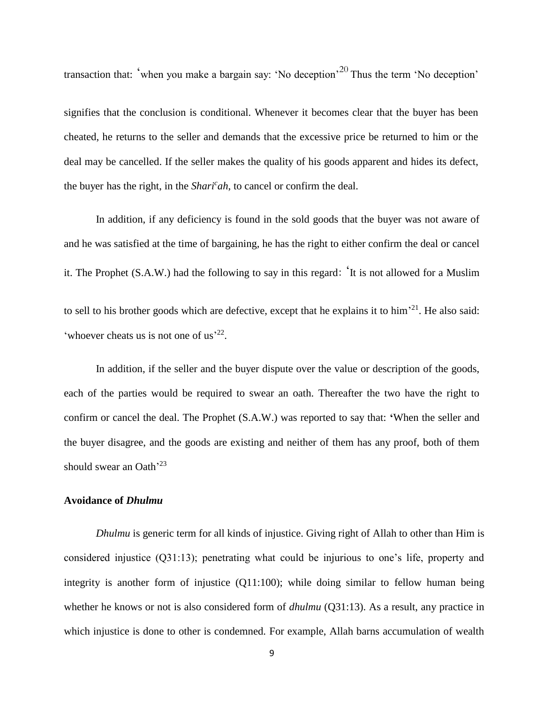transaction that: 'when you make a bargain say: 'No deception'<sup>20</sup> Thus the term 'No deception'

signifies that the conclusion is conditional. Whenever it becomes clear that the buyer has been cheated, he returns to the seller and demands that the excessive price be returned to him or the deal may be cancelled. If the seller makes the quality of his goods apparent and hides its defect, the buyer has the right, in the *Shari<sup>c</sup> ah*, to cancel or confirm the deal.

In addition, if any deficiency is found in the sold goods that the buyer was not aware of and he was satisfied at the time of bargaining, he has the right to either confirm the deal or cancel it. The Prophet (S.A.W.) had the following to say in this regard: 'It is not allowed for a Muslim to sell to his brother goods which are defective, except that he explains it to him<sup> $21$ </sup>. He also said: 'whoever cheats us is not one of us<sup>'22</sup>.

In addition, if the seller and the buyer dispute over the value or description of the goods, each of the parties would be required to swear an oath. Thereafter the two have the right to confirm or cancel the deal. The Prophet (S.A.W.) was reported to say that: **'**When the seller and the buyer disagree, and the goods are existing and neither of them has any proof, both of them should swear an Oath<sup>'23</sup>

#### **Avoidance of** *Dhulmu*

*Dhulmu* is generic term for all kinds of injustice. Giving right of Allah to other than Him is considered injustice (Q31:13); penetrating what could be injurious to one's life, property and integrity is another form of injustice (Q11:100); while doing similar to fellow human being whether he knows or not is also considered form of *dhulmu* (Q31:13). As a result, any practice in which injustice is done to other is condemned. For example, Allah barns accumulation of wealth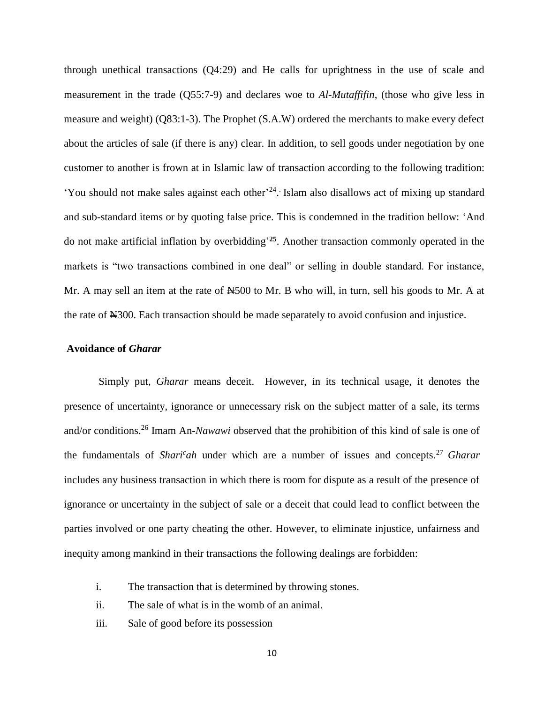through unethical transactions (Q4:29) and He calls for uprightness in the use of scale and measurement in the trade (Q55:7-9) and declares woe to *Al-Mutaffifin*, (those who give less in measure and weight) (Q83:1-3). The Prophet (S.A.W) ordered the merchants to make every defect about the articles of sale (if there is any) clear. In addition, to sell goods under negotiation by one customer to another is frown at in Islamic law of transaction according to the following tradition: 'You should not make sales against each other'<sup>24</sup>. Islam also disallows act of mixing up standard and sub-standard items or by quoting false price. This is condemned in the tradition bellow: 'And do not make artificial inflation by overbidding' **<sup>25</sup>**. Another transaction commonly operated in the markets is "two transactions combined in one deal" or selling in double standard. For instance, Mr. A may sell an item at the rate of  $\mathbb{H}500$  to Mr. B who will, in turn, sell his goods to Mr. A at the rate of N300. Each transaction should be made separately to avoid confusion and injustice.

#### **Avoidance of** *Gharar*

Simply put, *Gharar* means deceit. However, in its technical usage, it denotes the presence of uncertainty, ignorance or unnecessary risk on the subject matter of a sale, its terms and/or conditions.<sup>26</sup> Imam An-*Nawawi* observed that the prohibition of this kind of sale is one of the fundamentals of *Shari<sup>c</sup>ah* under which are a number of issues and concepts.<sup>27</sup> *Gharar* includes any business transaction in which there is room for dispute as a result of the presence of ignorance or uncertainty in the subject of sale or a deceit that could lead to conflict between the parties involved or one party cheating the other. However, to eliminate injustice, unfairness and inequity among mankind in their transactions the following dealings are forbidden:

- i. The transaction that is determined by throwing stones.
- ii. The sale of what is in the womb of an animal.
- iii. Sale of good before its possession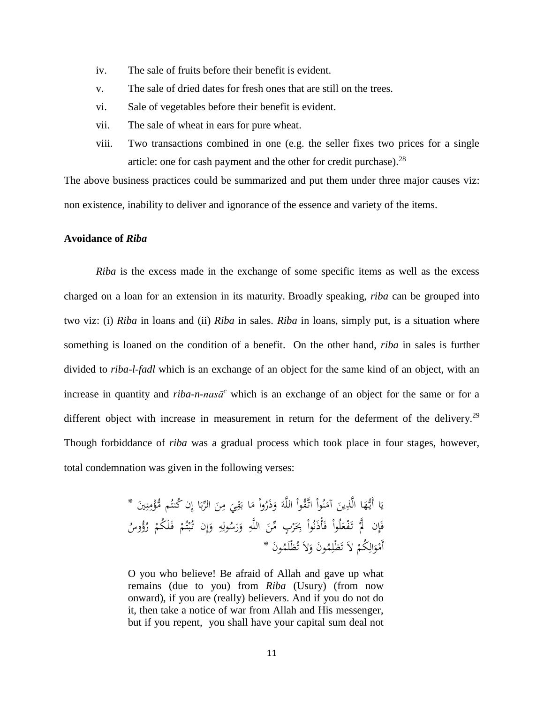- iv. The sale of fruits before their benefit is evident.
- v. The sale of dried dates for fresh ones that are still on the trees.
- vi. Sale of vegetables before their benefit is evident.
- vii. The sale of wheat in ears for pure wheat.
- viii. Two transactions combined in one (e.g. the seller fixes two prices for a single article: one for cash payment and the other for credit purchase). $^{28}$

The above business practices could be summarized and put them under three major causes viz: non existence, inability to deliver and ignorance of the essence and variety of the items.

#### **Avoidance of** *Riba*

*Riba* is the excess made in the exchange of some specific items as well as the excess charged on a loan for an extension in its maturity. Broadly speaking, *riba* can be grouped into two viz: (i) *Riba* in loans and (ii) *Riba* in sales. *Riba* in loans, simply put, is a situation where something is loaned on the condition of a benefit. On the other hand, *riba* in sales is further divided to *riba-l-fadl* which is an exchange of an object for the same kind of an object, with an increase in quantity and  $riba-n-nas\bar{a}^c$  which is an exchange of an object for the same or for a different object with increase in measurement in return for the deferment of the delivery.<sup>29</sup> Though forbiddance of *riba* was a gradual process which took place in four stages, however, total condemnation was given in the following verses:

> ْا أَيُّهَا الَّذِينَ آمَنُواْ اتَّقُواْ اللَّهَ وَذَرُواْ مَا بَقِيَ مِنَ الرِّبَا إِن كُنتُم مُّؤْمِنِينَ \*<br>\* ِ. ن  $\overline{\phantom{a}}$ ة<br>م ب<br>: ب  $\ddot{\phantom{0}}$  $\overline{a}$ پا<br>-ِ.<br>ِم با<br>.  $\overline{a}$ َ ً<br>م ا<br>ا ا<br>ا ن  $\overline{a}$ .<br>-<br>-ِ َ يا<br>. ي فَإِن لَمَّ تَفْعَلُواْ فَأْذَنُواْ بِحَرْبٍ مِّنَ اللَّهِ وَرَسُولِهِ وَإِن تُبْتُمْ فَلَكُمْ رُؤُوسُ<br>ِ <sup> $\mathbf$ </sup> <u>،</u> ْ ت .<br>: ب إ َ ِم ِ<br>ل َ َ ِ  $\ddot{\phantom{0}}$ ر<br>( َ <u>ة</u> َ **أ** ة.<br>أ أَمْوَالِكُمْ لاَ تَظْلِمُونَ وَلاَ تُظْلَمُونَ \* و<br>ت َ ا ت ْ ِ َ **م**

> O you who believe! Be afraid of Allah and gave up what remains (due to you) from *Riba* (Usury) (from now onward), if you are (really) believers. And if you do not do it, then take a notice of war from Allah and His messenger, but if you repent, you shall have your capital sum deal not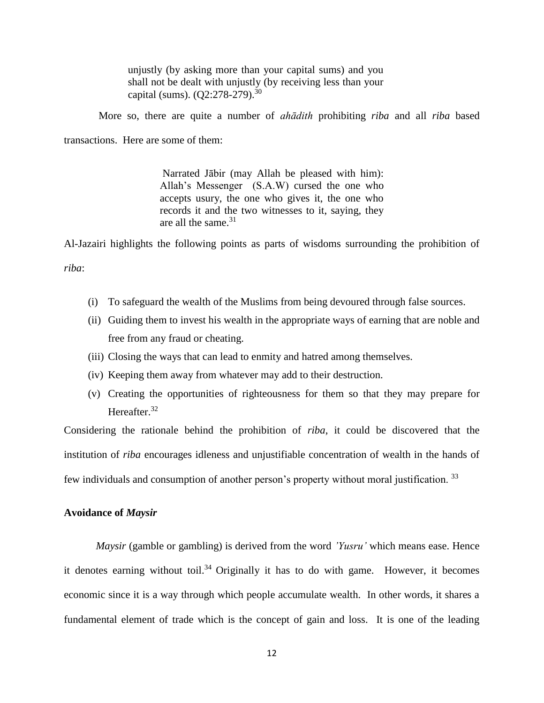unjustly (by asking more than your capital sums) and you shall not be dealt with unjustly (by receiving less than your capital (sums).  $(Q2:278-279)^{30}$ 

More so, there are quite a number of *ahādith* prohibiting *riba* and all *riba* based transactions. Here are some of them:

> Narrated Jābir (may Allah be pleased with him): Allah's Messenger (S.A.W) cursed the one who accepts usury, the one who gives it, the one who records it and the two witnesses to it, saying, they are all the same.<sup>31</sup>

Al-Jazairi highlights the following points as parts of wisdoms surrounding the prohibition of

*riba*:

- (i) To safeguard the wealth of the Muslims from being devoured through false sources.
- (ii) Guiding them to invest his wealth in the appropriate ways of earning that are noble and free from any fraud or cheating.
- (iii) Closing the ways that can lead to enmity and hatred among themselves.
- (iv) Keeping them away from whatever may add to their destruction.
- (v) Creating the opportunities of righteousness for them so that they may prepare for Hereafter.<sup>32</sup>

Considering the rationale behind the prohibition of *riba*, it could be discovered that the institution of *riba* encourages idleness and unjustifiable concentration of wealth in the hands of few individuals and consumption of another person's property without moral justification. <sup>33</sup>

#### **Avoidance of** *Maysir*

*Maysir* (gamble or gambling) is derived from the word *'Yusru'* which means ease. Hence it denotes earning without toil.<sup>34</sup> Originally it has to do with game. However, it becomes economic since it is a way through which people accumulate wealth. In other words, it shares a fundamental element of trade which is the concept of gain and loss. It is one of the leading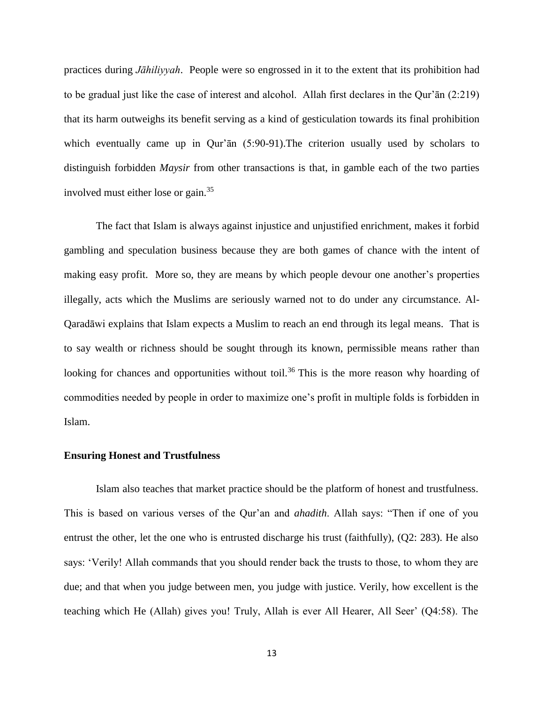practices during *Jāhiliyyah*. People were so engrossed in it to the extent that its prohibition had to be gradual just like the case of interest and alcohol. Allah first declares in the Qur'ān (2:219) that its harm outweighs its benefit serving as a kind of gesticulation towards its final prohibition which eventually came up in Qur'ān (5:90-91). The criterion usually used by scholars to distinguish forbidden *Maysir* from other transactions is that, in gamble each of the two parties involved must either lose or gain.<sup>35</sup>

The fact that Islam is always against injustice and unjustified enrichment, makes it forbid gambling and speculation business because they are both games of chance with the intent of making easy profit. More so, they are means by which people devour one another's properties illegally, acts which the Muslims are seriously warned not to do under any circumstance. Al-Qaradāwi explains that Islam expects a Muslim to reach an end through its legal means. That is to say wealth or richness should be sought through its known, permissible means rather than looking for chances and opportunities without toil.<sup>36</sup> This is the more reason why hoarding of commodities needed by people in order to maximize one's profit in multiple folds is forbidden in Islam.

#### **Ensuring Honest and Trustfulness**

Islam also teaches that market practice should be the platform of honest and trustfulness. This is based on various verses of the Qur'an and *ahadith*. Allah says: "Then if one of you entrust the other, let the one who is entrusted discharge his trust (faithfully), (Q2: 283). He also says: 'Verily! Allah commands that you should render back the trusts to those, to whom they are due; and that when you judge between men, you judge with justice. Verily, how excellent is the teaching which He (Allah) gives you! Truly, Allah is ever All Hearer, All Seer' (Q4:58). The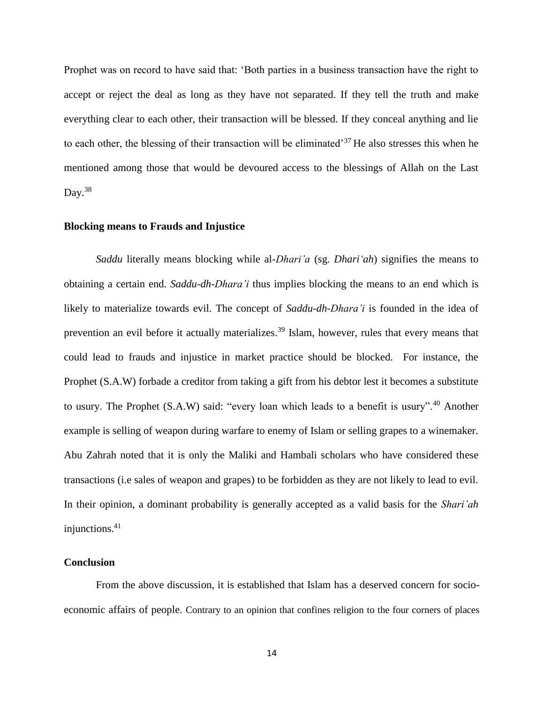Prophet was on record to have said that: 'Both parties in a business transaction have the right to accept or reject the deal as long as they have not separated. If they tell the truth and make everything clear to each other, their transaction will be blessed. If they conceal anything and lie to each other, the blessing of their transaction will be eliminated<sup>37</sup> He also stresses this when he mentioned among those that would be devoured access to the blessings of Allah on the Last Day. $38$ 

#### **Blocking means to Frauds and Injustice**

*Saddu* literally means blocking while al-*Dhari'a* (sg. *Dhari'ah*) signifies the means to obtaining a certain end. *Saddu*-*dh*-*Dhara'i* thus implies blocking the means to an end which is likely to materialize towards evil. The concept of *Saddu*-*dh*-*Dhara'i* is founded in the idea of prevention an evil before it actually materializes.<sup>39</sup> Islam, however, rules that every means that could lead to frauds and injustice in market practice should be blocked. For instance, the Prophet (S.A.W) forbade a creditor from taking a gift from his debtor lest it becomes a substitute to usury. The Prophet (S.A.W) said: "every loan which leads to a benefit is usury".<sup>40</sup> Another example is selling of weapon during warfare to enemy of Islam or selling grapes to a winemaker. Abu Zahrah noted that it is only the Maliki and Hambali scholars who have considered these transactions (i.e sales of weapon and grapes) to be forbidden as they are not likely to lead to evil. In their opinion, a dominant probability is generally accepted as a valid basis for the *Shari'ah* injunctions.<sup>41</sup>

#### **Conclusion**

From the above discussion, it is established that Islam has a deserved concern for socioeconomic affairs of people. Contrary to an opinion that confines religion to the four corners of places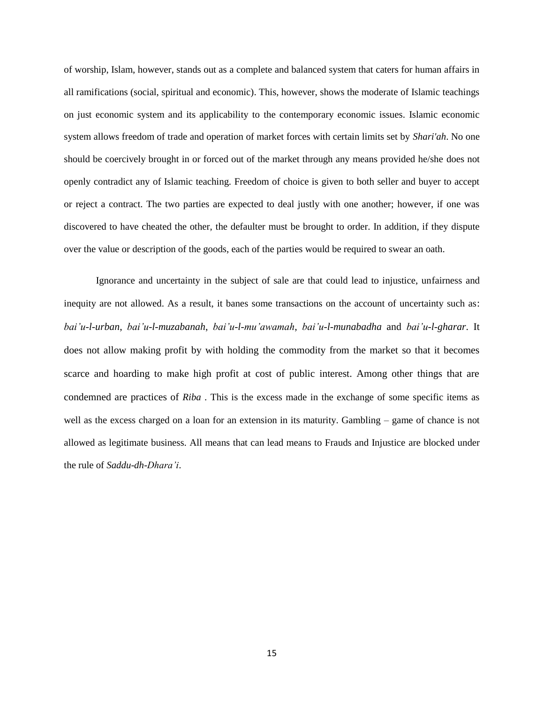of worship, Islam, however, stands out as a complete and balanced system that caters for human affairs in all ramifications (social, spiritual and economic). This, however, shows the moderate of Islamic teachings on just economic system and its applicability to the contemporary economic issues. Islamic economic system allows freedom of trade and operation of market forces with certain limits set by *Shari'ah*. No one should be coercively brought in or forced out of the market through any means provided he/she does not openly contradict any of Islamic teaching. Freedom of choice is given to both seller and buyer to accept or reject a contract. The two parties are expected to deal justly with one another; however, if one was discovered to have cheated the other, the defaulter must be brought to order. In addition, if they dispute over the value or description of the goods, each of the parties would be required to swear an oath.

Ignorance and uncertainty in the subject of sale are that could lead to injustice, unfairness and inequity are not allowed. As a result, it banes some transactions on the account of uncertainty such as: *bai'u-l-urban*, *bai'u-l-muzabanah*, *bai'u-l-mu'awamah*, *bai'u-l-munabadha* and *bai'u-l-gharar*. It does not allow making profit by with holding the commodity from the market so that it becomes scarce and hoarding to make high profit at cost of public interest. Among other things that are condemned are practices of *Riba* . This is the excess made in the exchange of some specific items as well as the excess charged on a loan for an extension in its maturity. Gambling – game of chance is not allowed as legitimate business. All means that can lead means to Frauds and Injustice are blocked under the rule of *Saddu*-*dh*-*Dhara'i*.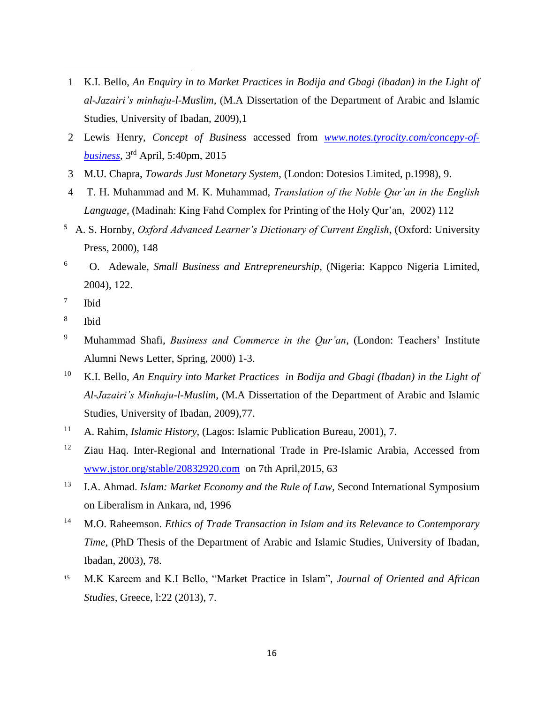- 1 K.I. Bello, *An Enquiry in to Market Practices in Bodija and Gbagi (ibadan) in the Light of al-Jazairi's minhaju-l-Muslim,* (M.A Dissertation of the Department of Arabic and Islamic Studies, University of Ibadan, 2009),1
- 2 Lewis Henry, *Concept of Business* accessed from *[www.notes.tyrocity.com/concepy-of](http://www.notes.tyrocity.com/concepy-of-business)[business](http://www.notes.tyrocity.com/concepy-of-business)*, 3 rd April, 5:40pm, 2015
- 3 M.U. Chapra, *Towards Just Monetary System*, (London: Dotesios Limited, p.1998), 9.
- 4 T. H. Muhammad and M. K. Muhammad, *Translation of the Noble Qur'an in the English Language*, (Madinah: King Fahd Complex for Printing of the Holy Qur'an, 2002) 112
- 5 A. S. Hornby, *Oxford Advanced Learner's Dictionary of Current English*, (Oxford: University Press, 2000), 148
- 6 O. Adewale, *Small Business and Entrepreneurship*, (Nigeria: Kappco Nigeria Limited, 2004), 122.
- 7 Ibid

 $\overline{\phantom{a}}$ 

- 8 Ibid
- <sup>9</sup> Muhammad Shafi, *Business and Commerce in the Qur'an*, (London: Teachers' Institute Alumni News Letter, Spring, 2000) 1-3.
- <sup>10</sup> K.I. Bello, *An Enquiry into Market Practices in Bodija and Gbagi (Ibadan) in the Light of Al-Jazairi's Minhaju-l-Muslim*, (M.A Dissertation of the Department of Arabic and Islamic Studies, University of Ibadan, 2009),77.
- 11 A. Rahim, *Islamic History,* (Lagos: Islamic Publication Bureau, 2001), 7.
- <sup>12</sup> Ziau Haq. Inter-Regional and International Trade in Pre-Islamic Arabia, Accessed from [www.jstor.org/stable/20832920.com](http://www.jstor.org/stable/20832920.com) on 7th April,2015, 63
- <sup>13</sup> I.A. Ahmad. *Islam: Market Economy and the Rule of Law,* Second International Symposium on Liberalism in Ankara, nd, 1996
- <sup>14</sup> M.O. Raheemson. *Ethics of Trade Transaction in Islam and its Relevance to Contemporary Time,* (PhD Thesis of the Department of Arabic and Islamic Studies, University of Ibadan, Ibadan, 2003), 78.
- <sup>15</sup> M.K Kareem and K.I Bello, "Market Practice in Islam", *Journal of Oriented and African Studies*, Greece, l:22 (2013), 7.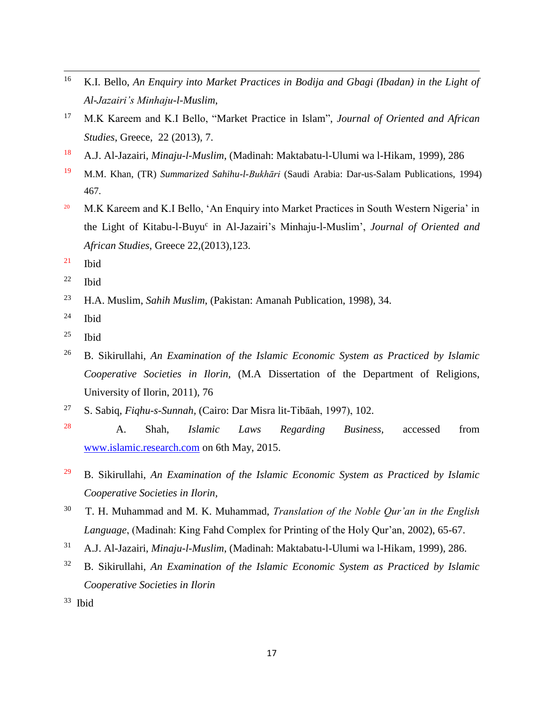- $16\,$ <sup>16</sup> K.I. Bello, *An Enquiry into Market Practices in Bodija and Gbagi (Ibadan) in the Light of Al-Jazairi's Minhaju-l-Muslim*,
- <sup>17</sup> M.K Kareem and K.I Bello, "Market Practice in Islam", *Journal of Oriented and African Studies*, Greece, 22 (2013), 7.
- <sup>18</sup> A.J. Al-Jazairi, *Minaju-l-Muslim*, (Madinah: Maktabatu-l-Ulumi wa l-Hikam, 1999), 286
- 19 M.M. Khan, (TR) *Summarized Sahihu-l-Bukhāri* (Saudi Arabia: Dar-us-Salam Publications, 1994) 467.
- <sup>20</sup> M.K Kareem and K.I Bello, 'An Enquiry into Market Practices in South Western Nigeria' in the Light of Kitabu-l-Buyu<sup>c</sup> in Al-Jazairi's Minhaju-l-Muslim', *Journal of Oriented and African Studies*, Greece 22,(2013),123.
- $21$  Ibid
- $22$  Ibid
- <sup>23</sup> H.A. Muslim, *Sahih Muslim*, (Pakistan: Amanah Publication, 1998), 34.
- $24$  Ibid
- $25$  Ibid
- <sup>26</sup> B. Sikirullahi, *An Examination of the Islamic Economic System as Practiced by Islamic Cooperative Societies in Ilorin,* (M.A Dissertation of the Department of Religions, University of Ilorin, 2011), 76
- <sup>27</sup> S. Sabiq, *Fiqhu-s-Sunnah,* (Cairo: Dar Misra lit-Tibāah, 1997), 102.
- 28 A. Shah, *Islamic Laws Regarding Business,* accessed from [www.islamic.research.com](http://www.islamic.research.com/) on 6th May, 2015.
- <sup>29</sup> B. Sikirullahi, *An Examination of the Islamic Economic System as Practiced by Islamic Cooperative Societies in Ilorin,*
- 30 T. H. Muhammad and M. K. Muhammad, *Translation of the Noble Qur'an in the English Language*, (Madinah: King Fahd Complex for Printing of the Holy Qur'an, 2002), 65-67.
- <sup>31</sup> A.J. Al-Jazairi, *Minaju-l-Muslim*, (Madinah: Maktabatu-l-Ulumi wa l-Hikam, 1999), 286.
- <sup>32</sup> B. Sikirullahi, *An Examination of the Islamic Economic System as Practiced by Islamic Cooperative Societies in Ilorin*
- <sup>33</sup> Ibid